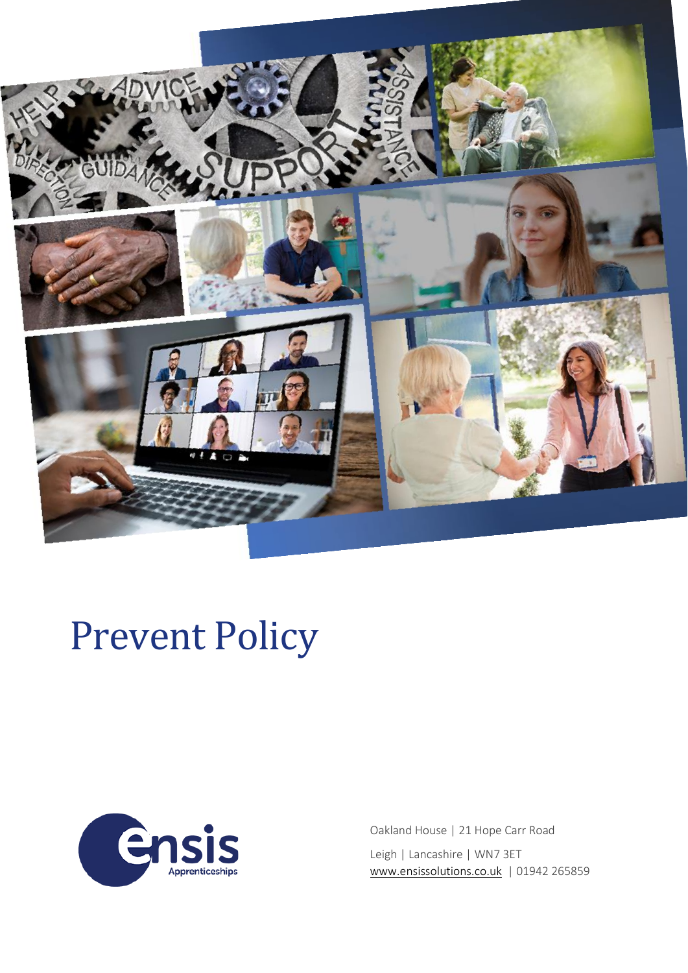

# Prevent Policy



Oakland House | 21 Hope Carr Road Leigh | Lancashire | WN7 3ET [www.ensissolutions.co.uk](http://www.ensissolutions.co.uk/) | 01942 265859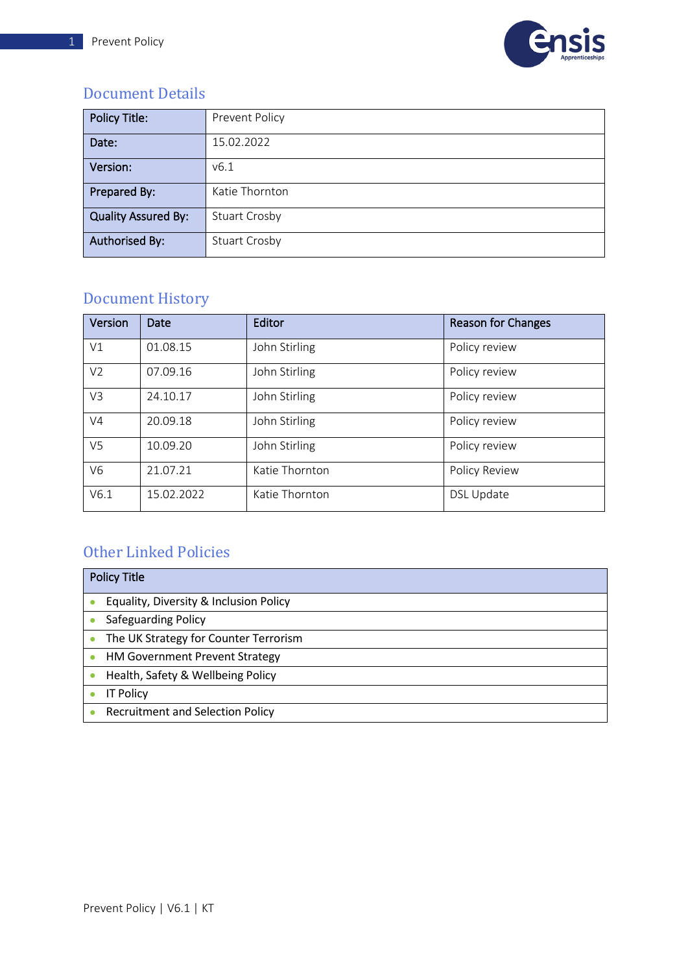

#### <span id="page-1-0"></span>Document Details

| <b>Policy Title:</b>       | Prevent Policy       |
|----------------------------|----------------------|
| Date:                      | 15.02.2022           |
| Version:                   | V6.1                 |
| Prepared By:               | Katie Thornton       |
| <b>Quality Assured By:</b> | <b>Stuart Crosby</b> |
| <b>Authorised By:</b>      | <b>Stuart Crosby</b> |

### <span id="page-1-1"></span>Document History

| Version        | Date       | Editor         | <b>Reason for Changes</b> |
|----------------|------------|----------------|---------------------------|
| V1             | 01.08.15   | John Stirling  | Policy review             |
| V <sub>2</sub> | 07.09.16   | John Stirling  | Policy review             |
| V3             | 24.10.17   | John Stirling  | Policy review             |
| V <sub>4</sub> | 20.09.18   | John Stirling  | Policy review             |
| V <sub>5</sub> | 10.09.20   | John Stirling  | Policy review             |
| V6             | 21.07.21   | Katie Thornton | Policy Review             |
| V6.1           | 15.02.2022 | Katie Thornton | <b>DSL Update</b>         |

### <span id="page-1-2"></span>Other Linked Policies

| <b>Policy Title</b> |                                         |  |
|---------------------|-----------------------------------------|--|
|                     | Equality, Diversity & Inclusion Policy  |  |
|                     | <b>Safeguarding Policy</b>              |  |
|                     | The UK Strategy for Counter Terrorism   |  |
|                     | <b>HM Government Prevent Strategy</b>   |  |
|                     | Health, Safety & Wellbeing Policy       |  |
|                     | <b>IT Policy</b>                        |  |
|                     | <b>Recruitment and Selection Policy</b> |  |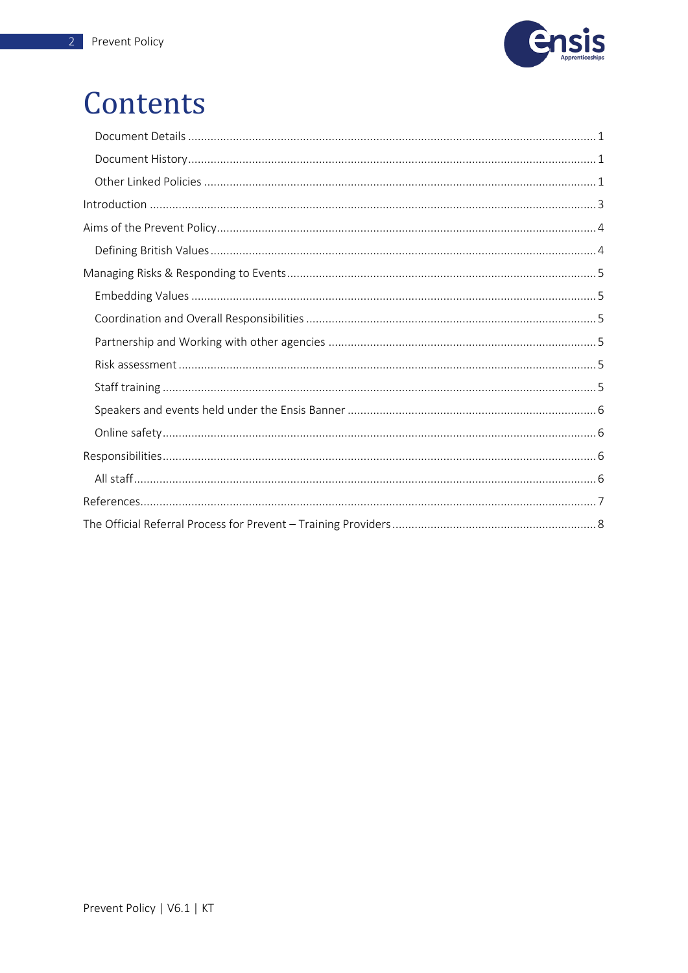

### Contents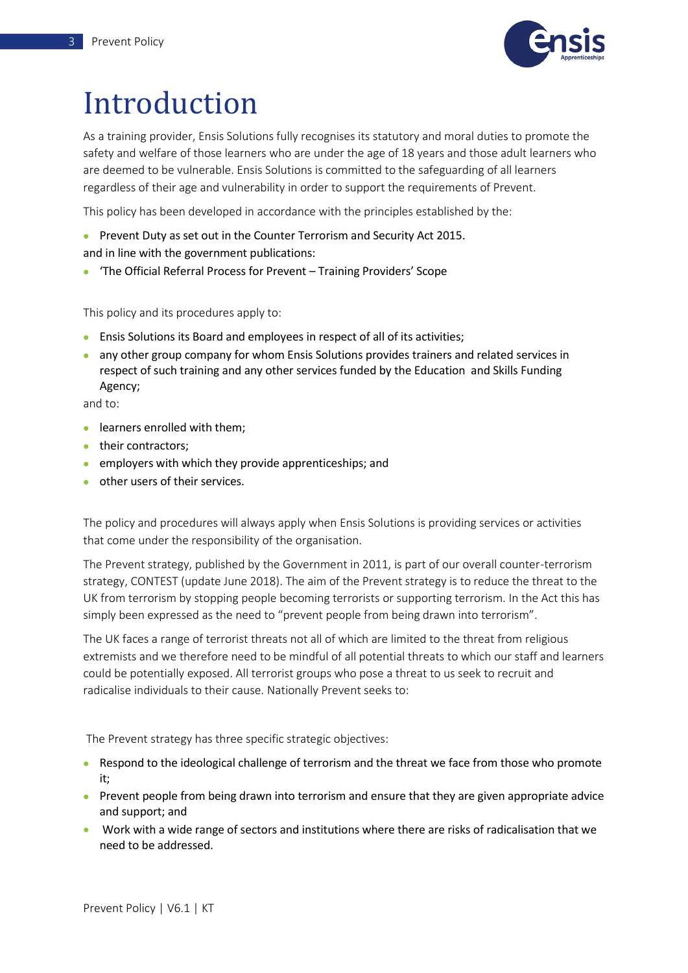

## <span id="page-3-0"></span>Introduction

As a training provider, Ensis Solutions fully recognises its statutory and moral duties to promote the safety and welfare of those learners who are under the age of 18 years and those adult learners who are deemed to be vulnerable. Ensis Solutions is committed to the safeguarding of all learners regardless of their age and vulnerability in order to support the requirements of Prevent.

This policy has been developed in accordance with the principles established by the:

- Prevent Duty as set out in the Counter Terrorism and Security Act 2015. and in line with the government publications:
- 'The Official Referral Process for Prevent Training Providers' Scope

This policy and its procedures apply to:

- Ensis Solutions its Board and employees in respect of all of its activities;
- any other group company for whom Ensis Solutions provides trainers and related services in respect of such training and any other services funded by the Education and Skills Funding Agency;

and to:

- learners enrolled with them:
- their contractors:
- employers with which they provide apprenticeships; and
- other users of their services.

The policy and procedures will always apply when Ensis Solutions is providing services or activities that come under the responsibility of the organisation.

The Prevent strategy, published by the Government in 2011, is part of our overall counter-terrorism strategy, CONTEST (update June 2018). The aim of the Prevent strategy is to reduce the threat to the UK from terrorism by stopping people becoming terrorists or supporting terrorism. In the Act this has simply been expressed as the need to "prevent people from being drawn into terrorism".

The UK faces a range of terrorist threats not all of which are limited to the threat from religious extremists and we therefore need to be mindful of all potential threats to which our staff and learners could be potentially exposed. All terrorist groups who pose a threat to us seek to recruit and radicalise individuals to their cause. Nationally Prevent seeks to:

The Prevent strategy has three specific strategic objectives:

- Respond to the ideological challenge of terrorism and the threat we face from those who promote it;
- Prevent people from being drawn into terrorism and ensure that they are given appropriate advice and support; and
- Work with a wide range of sectors and institutions where there are risks of radicalisation that we need to be addressed.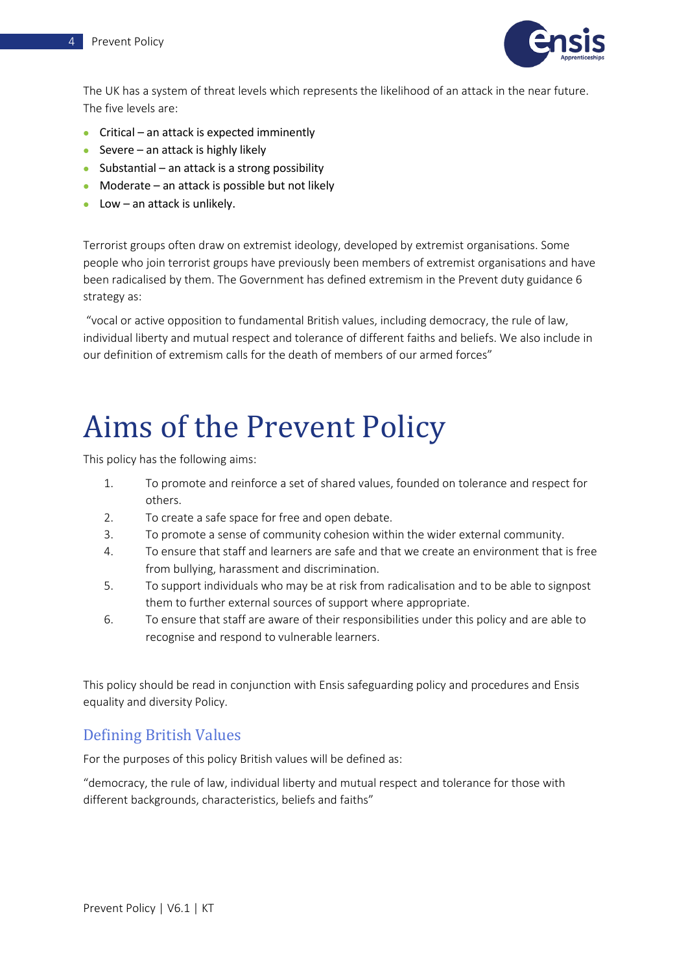

The UK has a system of threat levels which represents the likelihood of an attack in the near future. The five levels are:

- Critical an attack is expected imminently
- Severe an attack is highly likely
- Substantial an attack is a strong possibility
- Moderate an attack is possible but not likely
- $\bullet$  Low an attack is unlikely.

Terrorist groups often draw on extremist ideology, developed by extremist organisations. Some people who join terrorist groups have previously been members of extremist organisations and have been radicalised by them. The Government has defined extremism in the Prevent duty guidance 6 strategy as:

"vocal or active opposition to fundamental British values, including democracy, the rule of law, individual liberty and mutual respect and tolerance of different faiths and beliefs. We also include in our definition of extremism calls for the death of members of our armed forces"

### <span id="page-4-0"></span>Aims of the Prevent Policy

This policy has the following aims:

- 1. To promote and reinforce a set of shared values, founded on tolerance and respect for others.
- 2. To create a safe space for free and open debate.
- 3. To promote a sense of community cohesion within the wider external community.
- 4. To ensure that staff and learners are safe and that we create an environment that is free from bullying, harassment and discrimination.
- 5. To support individuals who may be at risk from radicalisation and to be able to signpost them to further external sources of support where appropriate.
- 6. To ensure that staff are aware of their responsibilities under this policy and are able to recognise and respond to vulnerable learners.

This policy should be read in conjunction with Ensis safeguarding policy and procedures and Ensis equality and diversity Policy.

#### <span id="page-4-1"></span>Defining British Values

For the purposes of this policy British values will be defined as:

"democracy, the rule of law, individual liberty and mutual respect and tolerance for those with different backgrounds, characteristics, beliefs and faiths"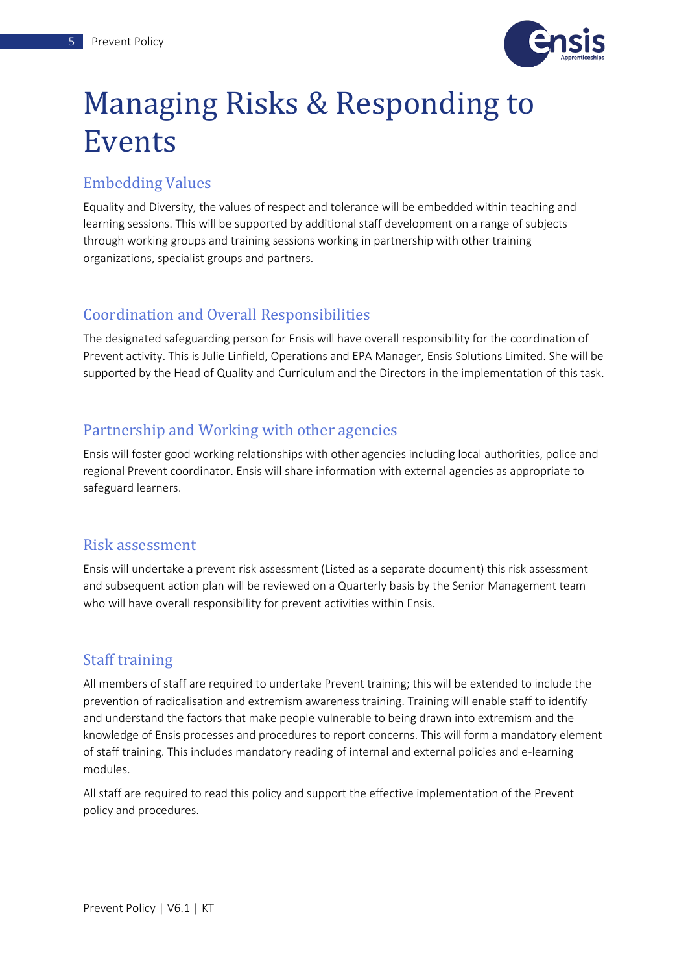

### <span id="page-5-0"></span>Managing Risks & Responding to Events

#### <span id="page-5-1"></span>Embedding Values

Equality and Diversity, the values of respect and tolerance will be embedded within teaching and learning sessions. This will be supported by additional staff development on a range of subjects through working groups and training sessions working in partnership with other training organizations, specialist groups and partners.

#### <span id="page-5-2"></span>Coordination and Overall Responsibilities

The designated safeguarding person for Ensis will have overall responsibility for the coordination of Prevent activity. This is Julie Linfield, Operations and EPA Manager, Ensis Solutions Limited. She will be supported by the Head of Quality and Curriculum and the Directors in the implementation of this task.

#### <span id="page-5-3"></span>Partnership and Working with other agencies

Ensis will foster good working relationships with other agencies including local authorities, police and regional Prevent coordinator. Ensis will share information with external agencies as appropriate to safeguard learners.

#### <span id="page-5-4"></span>Risk assessment

Ensis will undertake a prevent risk assessment (Listed as a separate document) this risk assessment and subsequent action plan will be reviewed on a Quarterly basis by the Senior Management team who will have overall responsibility for prevent activities within Ensis.

#### <span id="page-5-5"></span>Staff training

All members of staff are required to undertake Prevent training; this will be extended to include the prevention of radicalisation and extremism awareness training. Training will enable staff to identify and understand the factors that make people vulnerable to being drawn into extremism and the knowledge of Ensis processes and procedures to report concerns. This will form a mandatory element of staff training. This includes mandatory reading of internal and external policies and e-learning modules.

All staff are required to read this policy and support the effective implementation of the Prevent policy and procedures.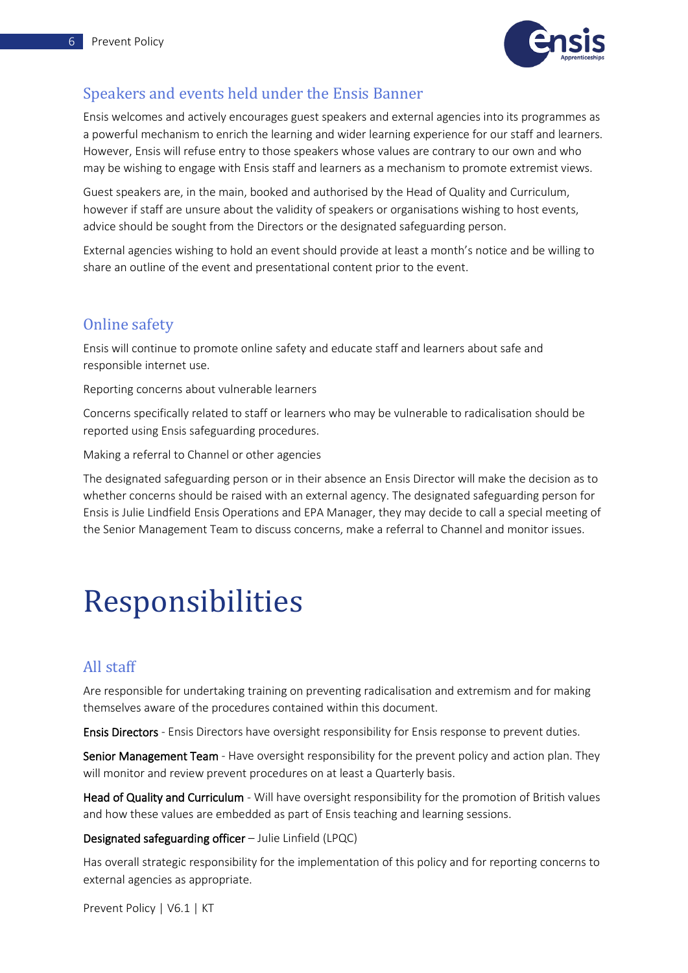

#### <span id="page-6-0"></span>Speakers and events held under the Ensis Banner

Ensis welcomes and actively encourages guest speakers and external agencies into its programmes as a powerful mechanism to enrich the learning and wider learning experience for our staff and learners. However, Ensis will refuse entry to those speakers whose values are contrary to our own and who may be wishing to engage with Ensis staff and learners as a mechanism to promote extremist views.

Guest speakers are, in the main, booked and authorised by the Head of Quality and Curriculum, however if staff are unsure about the validity of speakers or organisations wishing to host events, advice should be sought from the Directors or the designated safeguarding person.

External agencies wishing to hold an event should provide at least a month's notice and be willing to share an outline of the event and presentational content prior to the event.

#### <span id="page-6-1"></span>Online safety

Ensis will continue to promote online safety and educate staff and learners about safe and responsible internet use.

Reporting concerns about vulnerable learners

Concerns specifically related to staff or learners who may be vulnerable to radicalisation should be reported using Ensis safeguarding procedures.

Making a referral to Channel or other agencies

The designated safeguarding person or in their absence an Ensis Director will make the decision as to whether concerns should be raised with an external agency. The designated safeguarding person for Ensis is Julie Lindfield Ensis Operations and EPA Manager, they may decide to call a special meeting of the Senior Management Team to discuss concerns, make a referral to Channel and monitor issues.

### <span id="page-6-2"></span>Responsibilities

#### <span id="page-6-3"></span>All staff

Are responsible for undertaking training on preventing radicalisation and extremism and for making themselves aware of the procedures contained within this document.

Ensis Directors - Ensis Directors have oversight responsibility for Ensis response to prevent duties.

Senior Management Team - Have oversight responsibility for the prevent policy and action plan. They will monitor and review prevent procedures on at least a Quarterly basis.

Head of Quality and Curriculum - Will have oversight responsibility for the promotion of British values and how these values are embedded as part of Ensis teaching and learning sessions.

#### Designated safeguarding officer – Julie Linfield (LPQC)

Has overall strategic responsibility for the implementation of this policy and for reporting concerns to external agencies as appropriate.

Prevent Policy | V6.1 | KT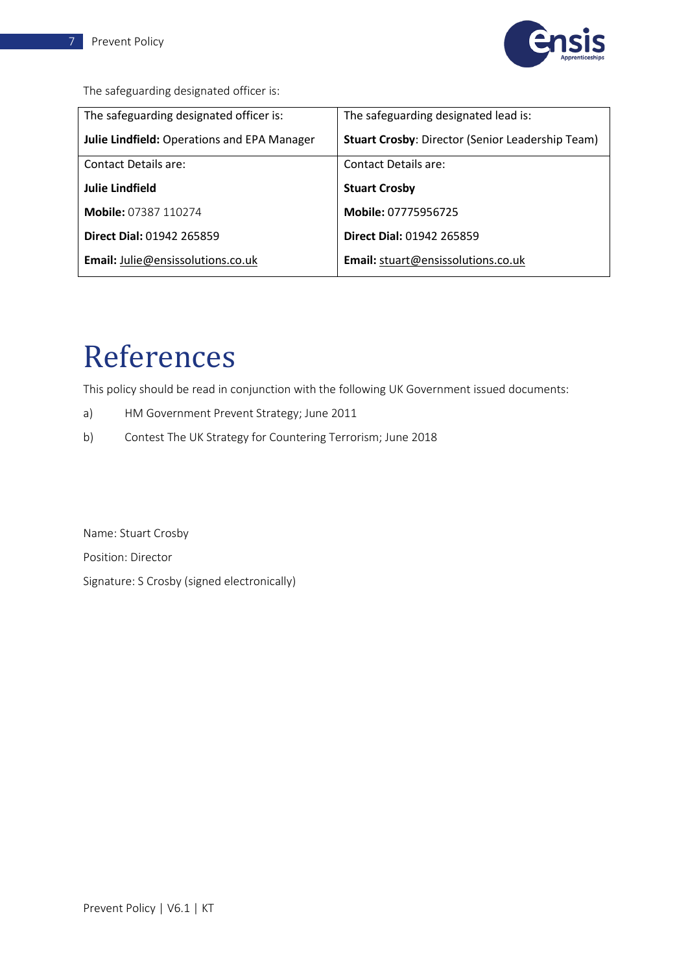

The safeguarding designated officer is:

| The safeguarding designated officer is:            | The safeguarding designated lead is:                    |
|----------------------------------------------------|---------------------------------------------------------|
| <b>Julie Lindfield: Operations and EPA Manager</b> | <b>Stuart Crosby: Director (Senior Leadership Team)</b> |
| <b>Contact Details are:</b>                        | Contact Details are:                                    |
| <b>Julie Lindfield</b>                             | <b>Stuart Crosby</b>                                    |
| <b>Mobile: 07387 110274</b>                        | Mobile: 07775956725                                     |
| <b>Direct Dial: 01942 265859</b>                   | <b>Direct Dial: 01942 265859</b>                        |
| <b>Email:</b> Julie@ensissolutions.co.uk           | Email: stuart@ensissolutions.co.uk                      |

### <span id="page-7-0"></span>References

This policy should be read in conjunction with the following UK Government issued documents:

- a) HM Government Prevent Strategy; June 2011
- b) Contest The UK Strategy for Countering Terrorism; June 2018

Name: Stuart Crosby Position: Director Signature: S Crosby (signed electronically)